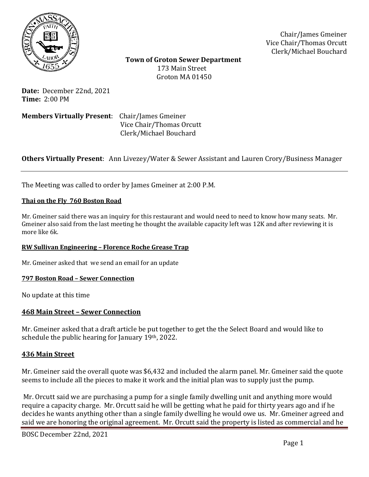

Chair/James Gmeiner Vice Chair/Thomas Orcutt Clerk/Michael Bouchard

 **Town of Groton Sewer Department** 173 Main Street Groton MA 01450

**Date:** December 22nd, 2021 **Time:** 2:00 PM

**Members Virtually Present**: Chair/James Gmeiner Vice Chair/Thomas Orcutt Clerk/Michael Bouchard

# **Others Virtually Present**: Ann Livezey/Water & Sewer Assistant and Lauren Crory/Business Manager

The Meeting was called to order by James Gmeiner at 2:00 P.M.

### **Thai on the Fly 760 Boston Road**

Mr. Gmeiner said there was an inquiry for this restaurant and would need to need to know how many seats. Mr. Gmeiner also said from the last meeting he thought the available capacity left was 12K and after reviewing it is more like 6k.

### **RW Sullivan Engineering – Florence Roche Grease Trap**

Mr. Gmeiner asked that we send an email for an update

#### **797 Boston Road – Sewer Connection**

No update at this time

### **468 Main Street – Sewer Connection**

Mr. Gmeiner asked that a draft article be put together to get the the Select Board and would like to schedule the public hearing for January 19th, 2022.

### **436 Main Street**

Mr. Gmeiner said the overall quote was \$6,432 and included the alarm panel. Mr. Gmeiner said the quote seems to include all the pieces to make it work and the initial plan was to supply just the pump.

Mr. Orcutt said we are purchasing a pump for a single family dwelling unit and anything more would require a capacity charge. Mr. Orcutt said he will be getting what he paid for thirty years ago and if he decides he wants anything other than a single family dwelling he would owe us. Mr. Gmeiner agreed and said we are honoring the original agreement. Mr. Orcutt said the property is listed as commercial and he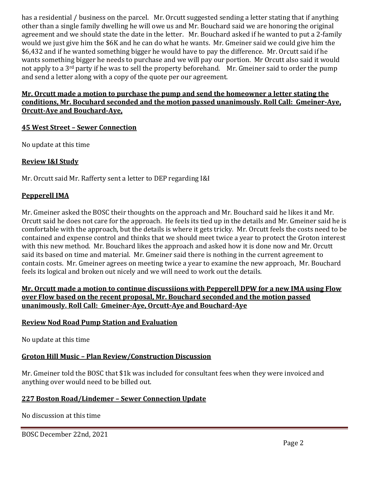has a residential / business on the parcel. Mr. Orcutt suggested sending a letter stating that if anything other than a single family dwelling he will owe us and Mr. Bouchard said we are honoring the original agreement and we should state the date in the letter. Mr. Bouchard asked if he wanted to put a 2-family would we just give him the \$6K and he can do what he wants. Mr. Gmeiner said we could give him the \$6,432 and if he wanted something bigger he would have to pay the difference. Mr. Orcutt said if he wants something bigger he needs to purchase and we will pay our portion. Mr Orcutt also said it would not apply to a 3<sup>rd</sup> party if he was to sell the property beforehand. Mr. Gmeiner said to order the pump and send a letter along with a copy of the quote per our agreement.

# **Mr. Orcutt made a motion to purchase the pump and send the homeowner a letter stating the conditions, Mr. Bocuhard seconded and the motion passed unanimously. Roll Call: Gmeiner-Aye, Orcutt-Aye and Bouchard-Aye,**

# **45 West Street – Sewer Connection**

No update at this time

# **Review I&I Study**

Mr. Orcutt said Mr. Rafferty sent a letter to DEP regarding I&I

# **Pepperell IMA**

Mr. Gmeiner asked the BOSC their thoughts on the approach and Mr. Bouchard said he likes it and Mr. Orcutt said he does not care for the approach. He feels its tied up in the details and Mr. Gmeiner said he is comfortable with the approach, but the details is where it gets tricky. Mr. Orcutt feels the costs need to be contained and expense control and thinks that we should meet twice a year to protect the Groton interest with this new method. Mr. Bouchard likes the approach and asked how it is done now and Mr. Orcutt said its based on time and material. Mr. Gmeiner said there is nothing in the current agreement to contain costs. Mr. Gmeiner agrees on meeting twice a year to examine the new approach, Mr. Bouchard feels its logical and broken out nicely and we will need to work out the details.

## **Mr. Orcutt made a motion to continue discussiions with Pepperell DPW for a new IMA using Flow over Flow based on the recent proposal, Mr. Bouchard seconded and the motion passed unanimously. Roll Call: Gmeiner-Aye, Orcutt-Aye and Bouchard-Aye**

# **Review Nod Road Pump Station and Evaluation**

No update at this time

# **Groton Hill Music – Plan Review/Construction Discussion**

Mr. Gmeiner told the BOSC that \$1k was included for consultant fees when they were invoiced and anything over would need to be billed out.

# **227 Boston Road/Lindemer – Sewer Connection Update**

No discussion at this time